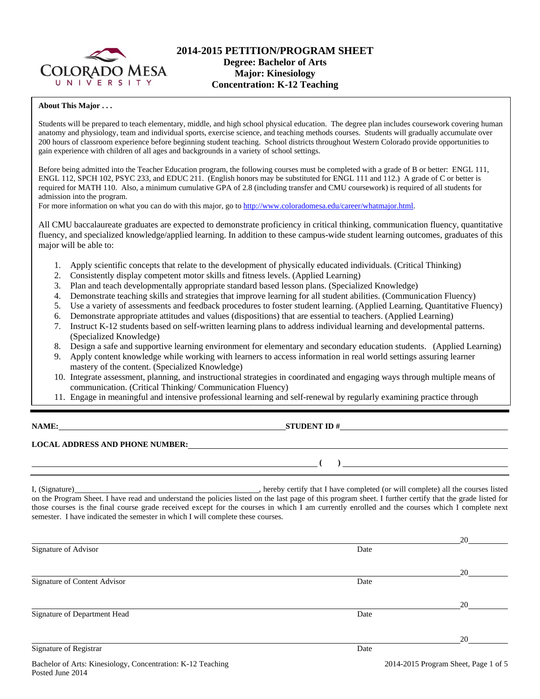

## **2014-2015 PETITION/PROGRAM SHEET Degree: Bachelor of Arts Major: Kinesiology Concentration: K-12 Teaching**

#### **About This Major . . .**

Students will be prepared to teach elementary, middle, and high school physical education. The degree plan includes coursework covering human anatomy and physiology, team and individual sports, exercise science, and teaching methods courses. Students will gradually accumulate over 200 hours of classroom experience before beginning student teaching. School districts throughout Western Colorado provide opportunities to gain experience with children of all ages and backgrounds in a variety of school settings.

Before being admitted into the Teacher Education program, the following courses must be completed with a grade of B or better: ENGL 111, ENGL 112, SPCH 102, PSYC 233, and EDUC 211. (English honors may be substituted for ENGL 111 and 112.) A grade of C or better is required for MATH 110. Also, a minimum cumulative GPA of 2.8 (including transfer and CMU coursework) is required of all students for admission into the program.

For more information on what you can do with this major, go to http://www.coloradomesa.edu/career/whatmajor.html.

All CMU baccalaureate graduates are expected to demonstrate proficiency in critical thinking, communication fluency, quantitative fluency, and specialized knowledge/applied learning. In addition to these campus-wide student learning outcomes, graduates of this major will be able to:

- 1. Apply scientific concepts that relate to the development of physically educated individuals. (Critical Thinking)
- 2. Consistently display competent motor skills and fitness levels. (Applied Learning)
- 3. Plan and teach developmentally appropriate standard based lesson plans. (Specialized Knowledge)
- 4. Demonstrate teaching skills and strategies that improve learning for all student abilities. (Communication Fluency)
- 5. Use a variety of assessments and feedback procedures to foster student learning. (Applied Learning, Quantitative Fluency)
- 6. Demonstrate appropriate attitudes and values (dispositions) that are essential to teachers. (Applied Learning)
- 7. Instruct K-12 students based on self-written learning plans to address individual learning and developmental patterns. (Specialized Knowledge)
- 8. Design a safe and supportive learning environment for elementary and secondary education students. (Applied Learning)
- 9. Apply content knowledge while working with learners to access information in real world settings assuring learner mastery of the content. (Specialized Knowledge)
- 10. Integrate assessment, planning, and instructional strategies in coordinated and engaging ways through multiple means of communication. (Critical Thinking/ Communication Fluency)
- 11. Engage in meaningful and intensive professional learning and self-renewal by regularly examining practice through

| ╲ | IAMI | Λ, |
|---|------|----|
|   |      |    |

**NAME:** STUDENT ID #

 $($   $)$ 

### **LOCAL ADDRESS AND PHONE NUMBER:**

I, (Signature) **Source 2008** (Signature) **, hereby certify that I have completed** (or will complete) all the courses listed on the Program Sheet. I have read and understand the policies listed on the last page of this program sheet. I further certify that the grade listed for those courses is the final course grade received except for the courses in which I am currently enrolled and the courses which I complete next semester. I have indicated the semester in which I will complete these courses.

|                                                       |      | 20 |
|-------------------------------------------------------|------|----|
| Signature of Advisor                                  | Date |    |
|                                                       |      | 20 |
| Signature of Content Advisor                          | Date |    |
|                                                       |      | 20 |
| Signature of Department Head                          | Date |    |
|                                                       |      | 20 |
| Signature of Registrar                                | Date |    |
| アンディア アイ・シー しゅうしょう しゅうしょう しゅうしょう しゅうしゅう しゅうしゅう しゅうしゅう |      |    |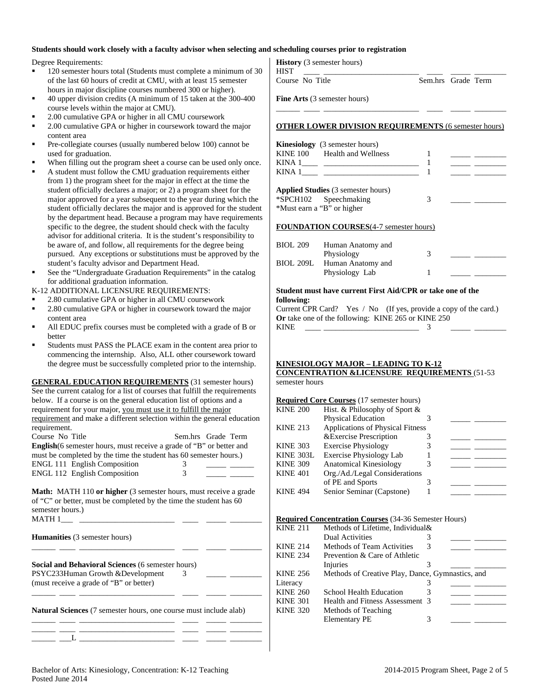### **Students should work closely with a faculty advisor when selecting and scheduling courses prior to registration**

Degree Requirements:

- 120 semester hours total (Students must complete a minimum of 30 of the last 60 hours of credit at CMU, with at least 15 semester hours in major discipline courses numbered 300 or higher).
- 40 upper division credits (A minimum of 15 taken at the 300-400 course levels within the major at CMU).
- 2.00 cumulative GPA or higher in all CMU coursework
- 2.00 cumulative GPA or higher in coursework toward the major content area
- Pre-collegiate courses (usually numbered below 100) cannot be used for graduation.
- When filling out the program sheet a course can be used only once.
- A student must follow the CMU graduation requirements either from 1) the program sheet for the major in effect at the time the student officially declares a major; or 2) a program sheet for the major approved for a year subsequent to the year during which the student officially declares the major and is approved for the student by the department head. Because a program may have requirements specific to the degree, the student should check with the faculty advisor for additional criteria. It is the student's responsibility to be aware of, and follow, all requirements for the degree being pursued. Any exceptions or substitutions must be approved by the student's faculty advisor and Department Head.
- See the "Undergraduate Graduation Requirements" in the catalog for additional graduation information.

K-12 ADDITIONAL LICENSURE REQUIREMENTS:

- 2.80 cumulative GPA or higher in all CMU coursework
- 2.80 cumulative GPA or higher in coursework toward the major content area
- All EDUC prefix courses must be completed with a grade of B or better
- Students must PASS the PLACE exam in the content area prior to commencing the internship. Also, ALL other coursework toward the degree must be successfully completed prior to the internship.

**GENERAL EDUCATION REQUIREMENTS** (31 semester hours) See the current catalog for a list of courses that fulfill the requirements below. If a course is on the general education list of options and a requirement for your major, you must use it to fulfill the major requirement and make a different selection within the general education requirement. Course No Title Sem.hrs Grade Term **English**(6 semester hours, must receive a grade of "B" or better and must be completed by the time the student has 60 semester hours.) ENGL 111 English Composition 3 ENGL 112 English Composition 3 **Math:** MATH 110 or higher (3 semester hours, must receive a grade of "C" or better, must be completed by the time the student has 60 semester hours.)

| <b>MATH1</b> |  |
|--------------|--|

| <b>Humanities</b> (3 semester hours) |  |  |  |
|--------------------------------------|--|--|--|
|--------------------------------------|--|--|--|

| Social and Behavioral Sciences (6 semester hours) |  |  |
|---------------------------------------------------|--|--|
| PSYC233Human Growth & Development                 |  |  |
| (must receive a grade of "B" or better)           |  |  |

**Natural Sciences** (7 semester hours, one course must include alab)

| ____ |  |  |  |
|------|--|--|--|
|      |  |  |  |
|      |  |  |  |

\_\_\_\_\_\_ \_\_\_\_ \_\_\_\_\_\_\_\_\_\_\_\_\_\_\_\_\_\_\_\_\_\_\_\_ \_\_\_\_ \_\_\_\_\_ \_\_\_\_\_\_\_\_

\_\_\_\_\_\_ \_\_\_\_ \_\_\_\_\_\_\_\_\_\_\_\_\_\_\_\_\_\_\_\_\_\_\_\_ \_\_\_\_ \_\_\_\_\_ \_\_\_\_\_\_\_\_

# **History** (3 semester hours)

HIST \_\_\_\_ \_\_\_\_\_\_\_\_\_\_\_\_\_\_\_\_\_\_\_\_\_\_\_\_ \_\_\_\_ \_\_\_\_\_ \_\_\_\_\_\_\_\_

Course No Title Sem.hrs Grade Term

**Fine Arts** (3 semester hours)

### **OTHER LOWER DIVISION REQUIREMENTS** (6 semester hours)

\_\_\_\_\_\_ \_\_\_\_ \_\_\_\_\_\_\_\_\_\_\_\_\_\_\_\_\_\_\_\_\_\_\_\_ \_\_\_\_ \_\_\_\_\_ \_\_\_\_\_\_\_\_

| <b>Kinesiology</b> (3 semester hours)<br>KINE 100 Health and Wellness<br>KINA $1$                |  |
|--------------------------------------------------------------------------------------------------|--|
| <b>Applied Studies</b> (3 semester hours)<br>*SPCH102 Speechmaking<br>*Must earn a "B" or higher |  |

#### **FOUNDATION COURSES**(4-7 semester hours)

| <b>BIOL 209</b> | Human Anatomy and |  |  |
|-----------------|-------------------|--|--|
|                 | Physiology        |  |  |
| BIOL 209L       | Human Anatomy and |  |  |
|                 | Physiology Lab    |  |  |

#### **Student must have current First Aid/CPR or take one of the following:**

Current CPR Card? Yes / No (If yes, provide a copy of the card.) **Or** take one of the following: KINE 265 or KINE 250 KINE  $\sim$  3

### **KINESIOLOGY MAJOR – LEADING TO K-12 CONCENTRATION &LICENSURE REQUIREMENTS** (51-53

semester hours

|                  | <b>Required Core Courses</b> (17 semester hours) |  |  |
|------------------|--------------------------------------------------|--|--|
| <b>KINE 200</b>  | Hist. & Philosophy of Sport &                    |  |  |
|                  | <b>Physical Education</b>                        |  |  |
| <b>KINE 213</b>  | <b>Applications of Physical Fitness</b>          |  |  |
|                  | & Exercise Prescription                          |  |  |
| <b>KINE 303</b>  | <b>Exercise Physiology</b>                       |  |  |
| <b>KINE 303L</b> | <b>Exercise Physiology Lab</b>                   |  |  |
| <b>KINE 309</b>  | <b>Anatomical Kinesiology</b>                    |  |  |
| <b>KINE 401</b>  | Org./Ad./Legal Considerations                    |  |  |
|                  | of PE and Sports                                 |  |  |
| <b>KINE 494</b>  | Senior Seminar (Capstone)                        |  |  |

#### **Required Concentration Courses** (34-36 Semester Hours)

| <b>KINE 211</b> | Methods of Lifetime, Individual &                |  |  |
|-----------------|--------------------------------------------------|--|--|
|                 | <b>Dual Activities</b>                           |  |  |
| <b>KINE 214</b> | <b>Methods of Team Activities</b>                |  |  |
| <b>KINE 234</b> | Prevention & Care of Athletic                    |  |  |
|                 | Injuries                                         |  |  |
| <b>KINE 256</b> | Methods of Creative Play, Dance, Gymnastics, and |  |  |
| Literacy        |                                                  |  |  |
| <b>KINE 260</b> | School Health Education                          |  |  |
| <b>KINE 301</b> | Health and Fitness Assessment 3                  |  |  |
| <b>KINE 320</b> | Methods of Teaching                              |  |  |
|                 | <b>Elementary PE</b>                             |  |  |
|                 |                                                  |  |  |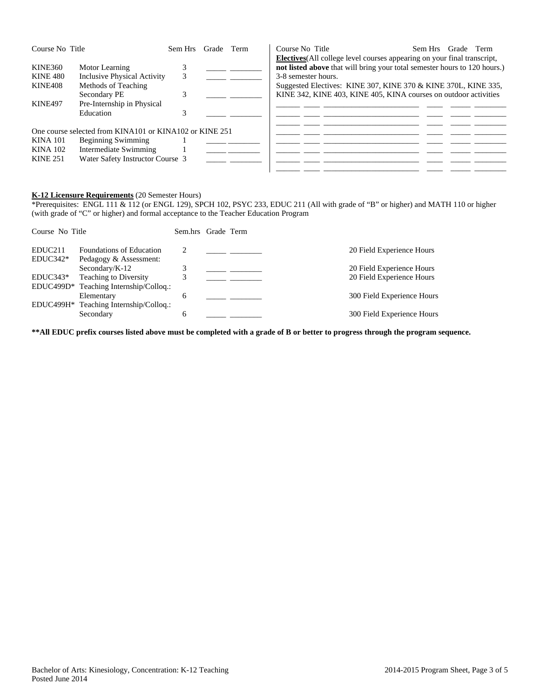| Course No Title                                       |                                                                                                                                            | Sem Hrs Grade Term |  | Course No Title<br><b>Electives</b> (All college level courses appearing on your final transcript,                                                                                                                                     | Sem Hrs Grade Term |
|-------------------------------------------------------|--------------------------------------------------------------------------------------------------------------------------------------------|--------------------|--|----------------------------------------------------------------------------------------------------------------------------------------------------------------------------------------------------------------------------------------|--------------------|
| KINE360<br><b>KINE 480</b><br>KINE408<br>KINE497      | Motor Learning<br>Inclusive Physical Activity<br>Methods of Teaching<br>Secondary PE<br>Pre-Internship in Physical<br>Education            | 3                  |  | not listed above that will bring your total semester hours to 120 hours.)<br>3-8 semester hours.<br>Suggested Electives: KINE 307, KINE 370 & KINE 370L, KINE 335,<br>KINE 342, KINE 403, KINE 405, KINA courses on outdoor activities |                    |
| <b>KINA 101</b><br><b>KINA 102</b><br><b>KINE 251</b> | One course selected from KINA101 or KINA102 or KINE 251<br>Beginning Swimming<br>Intermediate Swimming<br>Water Safety Instructor Course 3 |                    |  |                                                                                                                                                                                                                                        |                    |

#### **K-12 Licensure Requirements** (20 Semester Hours)

\*Prerequisites: ENGL 111 & 112 (or ENGL 129), SPCH 102, PSYC 233, EDUC 211 (All with grade of "B" or higher) and MATH 110 or higher (with grade of "C" or higher) and formal acceptance to the Teacher Education Program

| Course No Title                   |                                                                                                | Sem.hrs Grade Term |  |                                                        |
|-----------------------------------|------------------------------------------------------------------------------------------------|--------------------|--|--------------------------------------------------------|
| EDUC <sub>211</sub><br>$EDUC342*$ | Foundations of Education<br>Pedagogy & Assessment:                                             |                    |  | 20 Field Experience Hours                              |
| $EDUC343*$                        | Secondary/ $K-12$<br>Teaching to Diversity                                                     |                    |  | 20 Field Experience Hours<br>20 Field Experience Hours |
|                                   | EDUC499D* Teaching Internship/Colloq.:<br>Elementary<br>EDUC499H* Teaching Internship/Colloq.: | 6                  |  | 300 Field Experience Hours                             |
|                                   | Secondary                                                                                      |                    |  | 300 Field Experience Hours                             |

**\*\*All EDUC prefix courses listed above must be completed with a grade of B or better to progress through the program sequence.**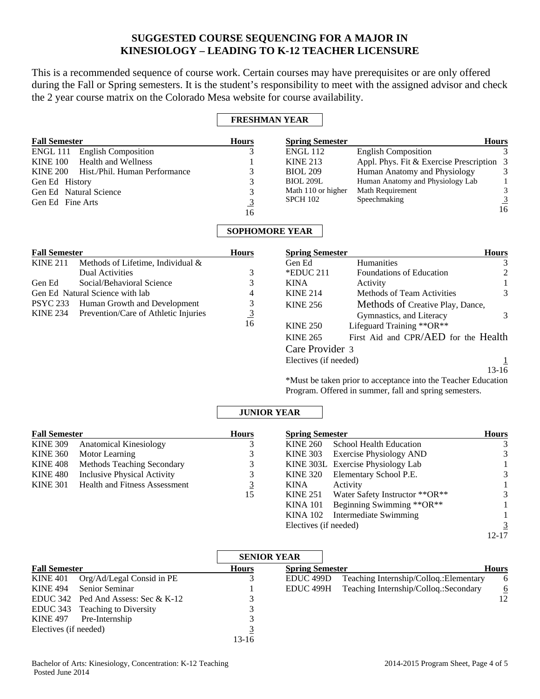# **SUGGESTED COURSE SEQUENCING FOR A MAJOR IN KINESIOLOGY – LEADING TO K-12 TEACHER LICENSURE**

This is a recommended sequence of course work. Certain courses may have prerequisites or are only offered during the Fall or Spring semesters. It is the student's responsibility to meet with the assigned advisor and check the 2 year course matrix on the Colorado Mesa website for course availability.

## **FRESHMAN YEAR**

| <b>Fall Semester</b>                             | <b>Hours</b> | <b>Spring Semester</b> |                                           | <b>Hours</b> |  |
|--------------------------------------------------|--------------|------------------------|-------------------------------------------|--------------|--|
| ENGL 111<br><b>English Composition</b>           |              | <b>ENGL 112</b>        | <b>English Composition</b>                |              |  |
| <b>Health and Wellness</b><br><b>KINE 100</b>    |              | <b>KINE 213</b>        | Appl. Phys. Fit & Exercise Prescription 3 |              |  |
| <b>KINE 200</b><br>Hist./Phil. Human Performance |              | <b>BIOL 209</b>        | Human Anatomy and Physiology              | 3            |  |
| Gen Ed History                                   |              | <b>BIOL 209L</b>       | Human Anatomy and Physiology Lab          |              |  |
| Gen Ed Natural Science                           |              | Math 110 or higher     | Math Requirement                          | 3            |  |
| Gen Ed Fine Arts                                 |              | <b>SPCH 102</b>        | Speechmaking                              | 3            |  |
|                                                  | 16           |                        |                                           | 16           |  |

# **SOPHOMORE YEAR**

| <b>Fall Semester</b>            | <b>Hours</b>                                  |    |
|---------------------------------|-----------------------------------------------|----|
| <b>KINE 211</b>                 | Methods of Lifetime, Individual &             |    |
|                                 | <b>Dual Activities</b>                        |    |
| Gen Ed                          | Social/Behavioral Science                     |    |
| Gen Ed Natural Science with lab |                                               |    |
|                                 | PSYC 233 Human Growth and Development         |    |
|                                 | KINE 234 Prevention/Care of Athletic Injuries |    |
|                                 |                                               | 16 |

| <b>Spring Semester</b> |                                                                 | <b>Hours</b> |
|------------------------|-----------------------------------------------------------------|--------------|
| Gen Ed                 | Humanities                                                      |              |
| $*$ EDUC 211           | <b>Foundations of Education</b>                                 |              |
| <b>KINA</b>            | Activity                                                        |              |
| <b>KINE 214</b>        | Methods of Team Activities                                      |              |
| <b>KINE 256</b>        | Methods of Creative Play, Dance,                                |              |
|                        | Gymnastics, and Literacy                                        |              |
| <b>KINE 250</b>        | Lifeguard Training **OR**                                       |              |
| <b>KINE 265</b>        | First Aid and CPR/AED for the Health                            |              |
| Care Provider 3        |                                                                 |              |
| Electives (if needed)  |                                                                 |              |
|                        |                                                                 | $13 - 16$    |
|                        | $*Mnet$ be taken prior to accontance into the Teacher Education |              |

\*Must be taken prior to acceptance into the Teacher Education Program. Offered in summer, fall and spring semesters.

## **JUNIOR YEAR**

| <b>Fall Semester</b> |                                      | <b>Hours</b> | <b>Spring Semester</b> |                                   |   |
|----------------------|--------------------------------------|--------------|------------------------|-----------------------------------|---|
| <b>KINE 309</b>      | <b>Anatomical Kinesiology</b>        |              | <b>KINE 260</b>        | School Health Education           |   |
|                      | KINE 360 Motor Learning              |              | <b>KINE 303</b>        | <b>Exercise Physiology AND</b>    | 3 |
| KINE 408             | Methods Teaching Secondary           |              |                        | KINE 303L Exercise Physiology Lab |   |
| KINE 480             | Inclusive Physical Activity          |              | KINE 320               | Elementary School P.E.            | 3 |
| <b>KINE 301</b>      | <b>Health and Fitness Assessment</b> | <u>3</u>     | <b>KINA</b>            | Activity                          |   |
|                      |                                      | 15           | KINE 251               | Water Safety Instructor **OR**    | 3 |
|                      |                                      |              | <b>KINA 101</b>        | Beginning Swimming **OR**         |   |
|                      |                                      |              | KINA 102               | Intermediate Swimming             |   |
|                      |                                      |              |                        |                                   |   |

Electives (if needed)  $\frac{3}{12-17}$ 

12-17

|                       |                                     | <b>SENIOR YEAR</b> |                        |                                         |              |  |
|-----------------------|-------------------------------------|--------------------|------------------------|-----------------------------------------|--------------|--|
| <b>Fall Semester</b>  |                                     | <b>Hours</b>       | <b>Spring Semester</b> |                                         | <b>Hours</b> |  |
| <b>KINE 401</b>       | Org/Ad/Legal Consid in PE           |                    | EDUC <sub>499</sub> D  | Teaching Internship/Colloq.: Elementary | 6            |  |
| <b>KINE 494</b>       | <b>Senior Seminar</b>               |                    | EDUC 499H              | Teaching Internship/Colloq.:Secondary   | <u>6</u>     |  |
|                       | EDUC 342 Ped And Assess: Sec & K-12 |                    |                        |                                         | 12           |  |
|                       | EDUC 343 Teaching to Diversity      |                    |                        |                                         |              |  |
| <b>KINE 497</b>       | Pre-Internship                      |                    |                        |                                         |              |  |
| Electives (if needed) |                                     |                    |                        |                                         |              |  |
|                       |                                     | $13-16$            |                        |                                         |              |  |